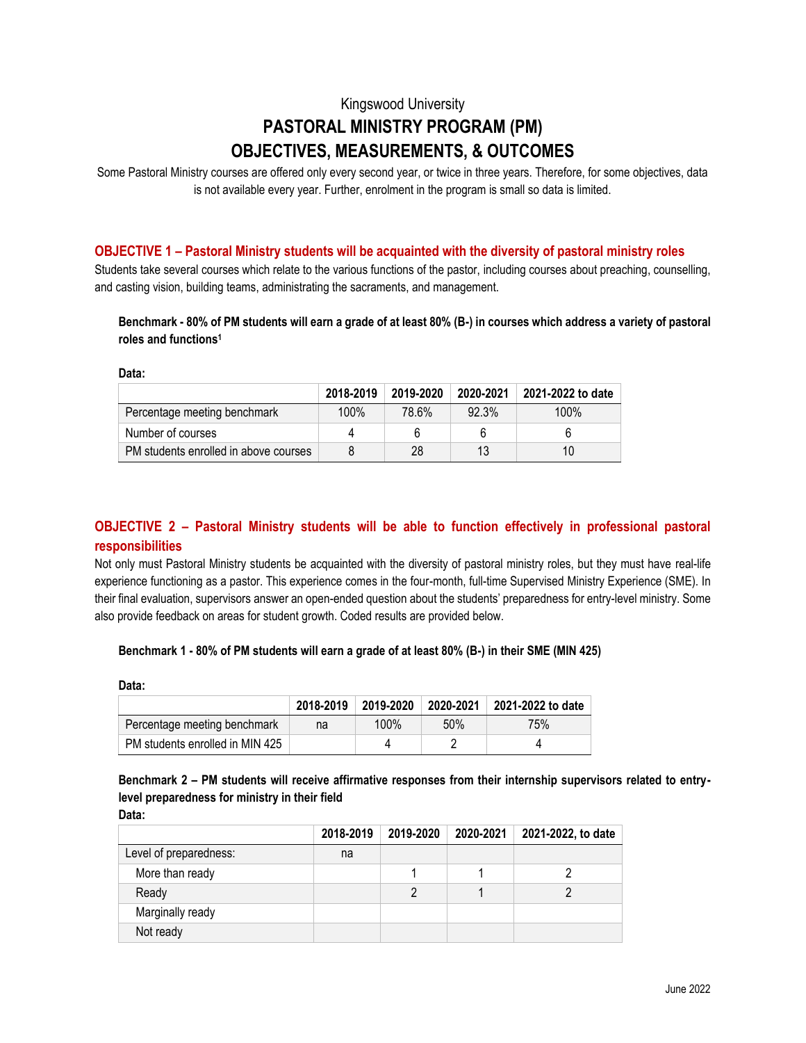# Kingswood University **PASTORAL MINISTRY PROGRAM (PM) OBJECTIVES, MEASUREMENTS, & OUTCOMES**

Some Pastoral Ministry courses are offered only every second year, or twice in three years. Therefore, for some objectives, data is not available every year. Further, enrolment in the program is small so data is limited.

# **OBJECTIVE 1 – Pastoral Ministry students will be acquainted with the diversity of pastoral ministry roles**

Students take several courses which relate to the various functions of the pastor, including courses about preaching, counselling, and casting vision, building teams, administrating the sacraments, and management.

**Benchmark - 80% of PM students will earn a grade of at least 80% (B-) in courses which address a variety of pastoral roles and functions<sup>1</sup>**

**Data:** 

|                                       | 2018-2019 | 2019-2020 | 2020-2021 | 2021-2022 to date |
|---------------------------------------|-----------|-----------|-----------|-------------------|
| Percentage meeting benchmark          | 100%      | 78.6%     | 92.3%     | 100%              |
| Number of courses                     |           |           |           |                   |
| PM students enrolled in above courses |           | 28        | 13        | 10                |

# **OBJECTIVE 2 – Pastoral Ministry students will be able to function effectively in professional pastoral responsibilities**

Not only must Pastoral Ministry students be acquainted with the diversity of pastoral ministry roles, but they must have real-life experience functioning as a pastor. This experience comes in the four-month, full-time Supervised Ministry Experience (SME). In their final evaluation, supervisors answer an open-ended question about the students' preparedness for entry-level ministry. Some also provide feedback on areas for student growth. Coded results are provided below.

### **Benchmark 1 - 80% of PM students will earn a grade of at least 80% (B-) in their SME (MIN 425)**

**Data:** 

|                                 | 2018-2019 | 2019-2020 | 2020-2021 | 2021-2022 to date |
|---------------------------------|-----------|-----------|-----------|-------------------|
| Percentage meeting benchmark    | na        | 100%      | 50%       | 75%               |
| PM students enrolled in MIN 425 |           |           |           |                   |

### **Benchmark 2 – PM students will receive affirmative responses from their internship supervisors related to entrylevel preparedness for ministry in their field Data:**

|                        | 2018-2019 | 2019-2020 | 2020-2021 | 2021-2022, to date |
|------------------------|-----------|-----------|-----------|--------------------|
| Level of preparedness: | na        |           |           |                    |
| More than ready        |           |           |           |                    |
| Ready                  |           |           |           |                    |
| Marginally ready       |           |           |           |                    |
| Not ready              |           |           |           |                    |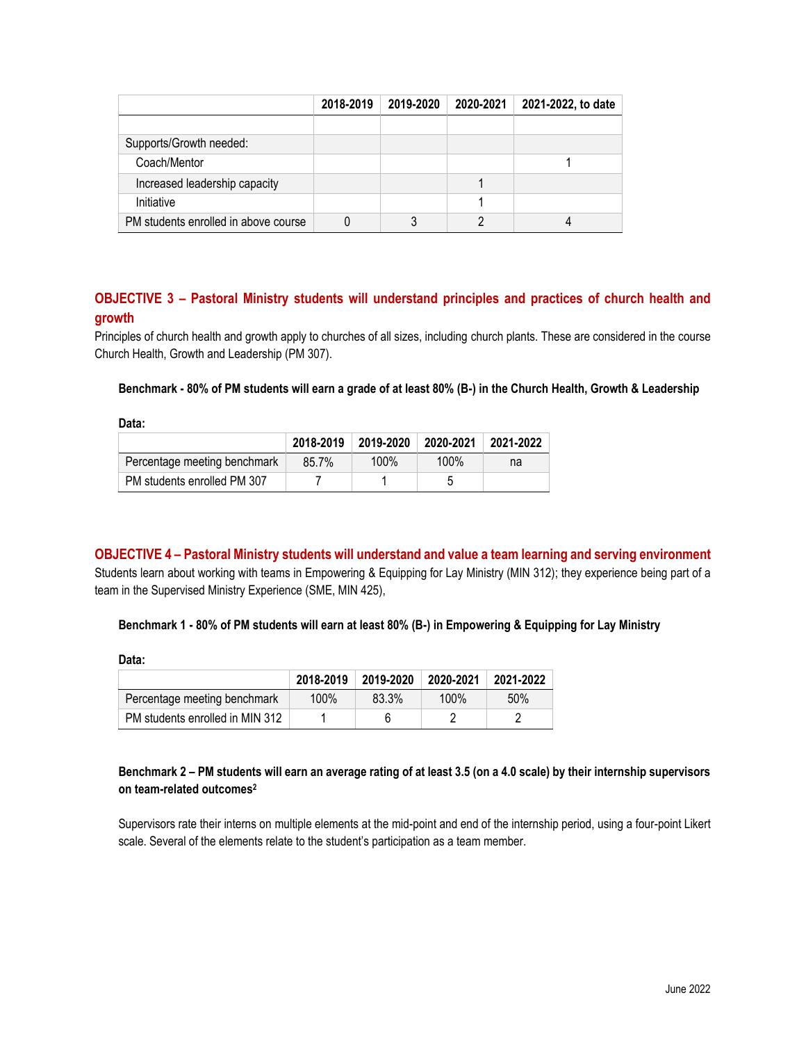|                                      | 2018-2019 | 2019-2020 | 2020-2021 | 2021-2022, to date |
|--------------------------------------|-----------|-----------|-----------|--------------------|
|                                      |           |           |           |                    |
| Supports/Growth needed:              |           |           |           |                    |
| Coach/Mentor                         |           |           |           |                    |
| Increased leadership capacity        |           |           |           |                    |
| Initiative                           |           |           |           |                    |
| PM students enrolled in above course |           |           |           |                    |

# **OBJECTIVE 3 – Pastoral Ministry students will understand principles and practices of church health and growth**

Principles of church health and growth apply to churches of all sizes, including church plants. These are considered in the course Church Health, Growth and Leadership (PM 307).

#### **Benchmark - 80% of PM students will earn a grade of at least 80% (B-) in the Church Health, Growth & Leadership**

**Data:** 

|                              | 2018-2019 | 2019-2020 | 2020-2021 | 2021-2022 |
|------------------------------|-----------|-----------|-----------|-----------|
| Percentage meeting benchmark | 85.7%     | 100%      | 100%      | na        |
| PM students enrolled PM 307  |           |           | 5         |           |

**OBJECTIVE 4 – Pastoral Ministry students will understand and value a team learning and serving environment** Students learn about working with teams in Empowering & Equipping for Lay Ministry (MIN 312); they experience being part of a team in the Supervised Ministry Experience (SME, MIN 425),

#### **Benchmark 1 - 80% of PM students will earn at least 80% (B-) in Empowering & Equipping for Lay Ministry**

**Data:** 

|                                 | 2018-2019 | 2019-2020 | 2020-2021 | 2021-2022 |
|---------------------------------|-----------|-----------|-----------|-----------|
| Percentage meeting benchmark    | 100%      | 83.3%     | 100%      | 50%       |
| PM students enrolled in MIN 312 |           |           |           |           |

# **Benchmark 2 – PM students will earn an average rating of at least 3.5 (on a 4.0 scale) by their internship supervisors on team-related outcomes<sup>2</sup>**

Supervisors rate their interns on multiple elements at the mid-point and end of the internship period, using a four-point Likert scale. Several of the elements relate to the student's participation as a team member.